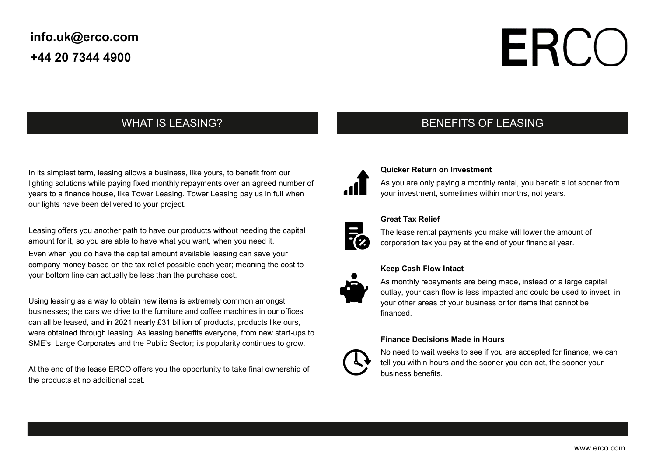## **info.uk@erco.com +44 20 7344 4900**

# **ERCC**

## WHAT IS LEASING?

In its simplest term, leasing allows a business, like yours, to benefit from our lighting solutions while paying fixed monthly repayments over an agreed number of years to a finance house, like Tower Leasing. Tower Leasing pay us in full when our lights have been delivered to your project.

Leasing offers you another path to have our products without needing the capital amount for it, so you are able to have what you want, when you need it. Even when you do have the capital amount available leasing can save your

company money based on the tax relief possible each year; meaning the cost to your bottom line can actually be less than the purchase cost.

Using leasing as a way to obtain new items is extremely common amongst businesses; the cars we drive to the furniture and coffee machines in our offices can all be leased, and in 2021 nearly £31 billion of products, products like ours, were obtained through leasing. As leasing benefits everyone, from new start-ups to SME's, Large Corporates and the Public Sector; its popularity continues to grow.

At the end of the lease ERCO offers you the opportunity to take final ownership of the products at no additional cost.

## BENEFITS OF LEASING



## **Quicker Return on Investment**

As you are only paying a monthly rental, you benefit a lot sooner from your investment, sometimes within months, not years.



### **Great Tax Relief**

The lease rental payments you make will lower the amount of corporation tax you pay at the end of your financial year.



## **Keep Cash Flow Intact**

As monthly repayments are being made, instead of a large capital outlay, your cash flow is less impacted and could be used to invest in your other areas of your business or for items that cannot be financed.

### **Finance Decisions Made in Hours**



No need to wait weeks to see if you are accepted for finance, we can tell you within hours and the sooner you can act, the sooner your business benefits.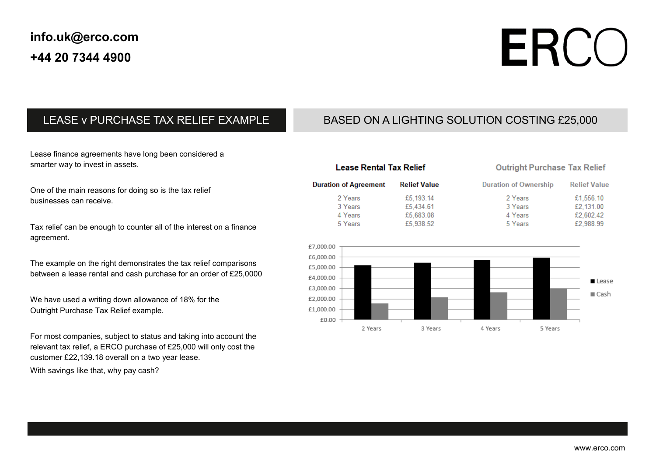# ERCO

**Relief Value** 

## LEASE v PURCHASE TAX RELIEF EXAMPLE

## BASED ON A LIGHTING SOLUTION COSTING £25,000

Lease finance agreements have long been considered a smarter way to invest in assets.

One of the main reasons for doing so is the tax relief businesses can receive.

Tax relief can be enough to counter all of the interest on a finance agreement.

The example on the right demonstrates the tax relief comparisons between a lease rental and cash purchase for an order of £25,0000

We have used a writing down allowance of 18% for the Outright Purchase Tax Relief example.

For most companies, subject to status and taking into account the relevant tax relief, a ERCO purchase of £25,000 will only cost the customer £22,139.18 overall on a two year lease.

With savings like that, why pay cash?

| <b>Lease Rental Tax Relief</b> |                     | <b>Outright Purchase Tax Relief</b> |                     |
|--------------------------------|---------------------|-------------------------------------|---------------------|
| <b>Duration of Agreement</b>   | <b>Relief Value</b> | <b>Duration of Ownership</b>        | <b>Relief Value</b> |
| 2 Years                        | £5,193.14           | 2 Years                             | £1,556.10           |
| 3 Years                        | £5,434.61           | 3 Years                             | £2.131.00           |
| 4 Years                        | £5,683.08           | 4 Years                             | £2,602.42           |
| 5 Years                        | £5,938.52           | 5 Years                             | £2,988.99           |